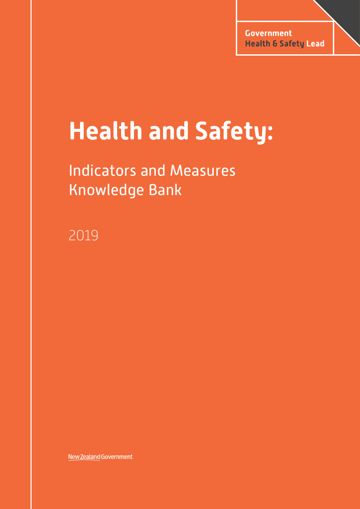# **Health and Safety:**

# Indicators and Measures Knowledge Bank

2019

New Zealand Government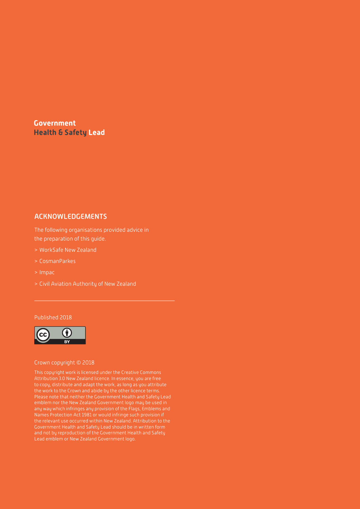# <span id="page-1-0"></span>**Government Health & Safety Lead**

# ACKNOWLEDGEMENTS

The following organisations provided advice in the preparation of this guide.

- > WorkSafe New Zealand
- > CosmanParkes
- > Impac
- > Civil Aviation Authority of New Zealand

#### Published 2018



#### Crown copyright © 2018

This copyright work is licensed under the Creative Commons Attribution 3.0 New Zealand licence. In essence, you are free to copy, distribute and adapt the work, as long as you attribute Please note that neither the Government Health and Safety Lead emblem nor the New Zealand Government logo may be used in any way which infringes any provision of the Flags, Emblems and Names Protection Act 1981 or would infringe such provision if Government Health and Safety Lead should be in written form and not by reproduction of the Government Health and Safety Lead emblem or New Zealand Government logo.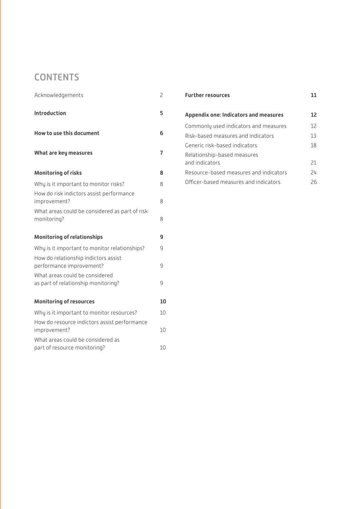# **CONTENTS**

| Acknowledgements                                                      | 2  |
|-----------------------------------------------------------------------|----|
| <b>Introduction</b>                                                   | 5  |
| How to use this document                                              | 6  |
| What are key measures                                                 | 7  |
| <b>Monitoring of risks</b>                                            | 8  |
| Why is it important to monitor risks?                                 | 8  |
| How do risk indictors assist performance<br>improvement?              | 8  |
| What areas could be considered as part of risk<br>monitoring?         | 8  |
| <b>Monitoring of relationships</b>                                    | 9  |
| Why is it important to monitor relationships?                         | 9  |
| How do relationship indictors assist<br>performance improvement?      | 9  |
| What areas could be considered<br>as part of relationship monitoring? | q  |
| <b>Monitoring of resources</b>                                        | 10 |
| Why is it important to monitor resources?                             | 10 |
| How do resource indictors assist performance<br>improvement?          | 10 |
| What areas could be considered as<br>part of resource monitoring?     | 10 |

| <b>Further resources</b>                     |    |
|----------------------------------------------|----|
| <b>Appendix one: Indicators and measures</b> | 12 |
| Commonly used indicators and measures        | 12 |
| Risk-based measures and indicators           | 13 |
| Generic risk-based indicators                | 18 |
| Relationship-based measures                  |    |
| and indicators                               | 21 |
| Resource-based measures and indicators       | 24 |
| Officer-based measures and indicators        | 26 |
|                                              |    |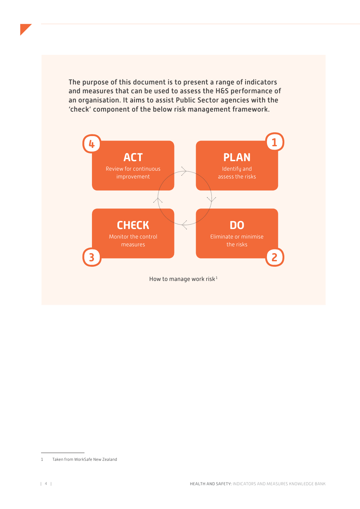The purpose of this document is to present a range of indicators and measures that can be used to assess the H&S performance of an organisation. It aims to assist Public Sector agencies with the 'check' component of the below risk management framework.



<sup>1</sup> Taken from WorkSafe New Zealand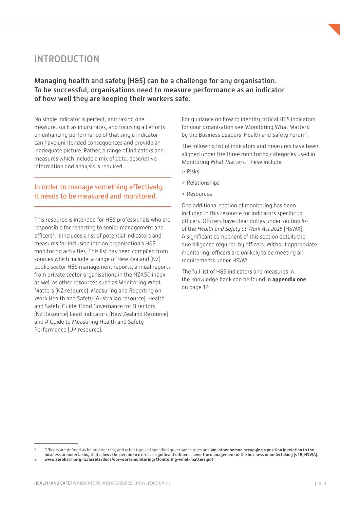# <span id="page-4-0"></span>INTRODUCTION

Managing health and safety (H&S) can be a challenge for any organisation. To be successful, organisations need to measure performance as an indicator of how well they are keeping their workers safe.

No single indicator is perfect, and taking one measure, such as injury rates, and focusing all efforts on enhancing performance of that single indicator can have unintended consequences and provide an inadequate picture. Rather, a range of indicators and measures which include a mix of data, descriptive information and analysis is required.

# In order to manage something effectively, it needs to be measured and monitored.

This resource is intended for H&S professionals who are responsible for reporting to senior management and officers<sup>2</sup>. It includes a list of potential indicators and measures for inclusion into an organisation's H&S monitoring activities. This list has been compiled from sources which include: a range of New Zealand (NZ) public sector H&S management reports, annual reports from private sector organisations in the NZX50 index, as well as other resources such as Monitoring What Matters (NZ resource), Measuring and Reporting on Work Health and Safety (Australian resource), Health and Safety Guide: Good Governance for Directors (NZ Resource) Lead Indicators (New Zealand Resource) and A Guide to Measuring Health and Safety Performance (UK resource).

For guidance on how to identify critical H&S indicators for your organisation see 'Monitoring What Matters' by the Business Leaders' Health and Safety Forum<sup>3</sup>.

The following list of indicators and measures have been aligned under the three monitoring categories used in Monitoring What Matters. These include:

- > Risks
- > Relationships
- > Resources

One additional section of monitoring has been included in this resource for indicators specific to officers. Officers have clear duties under section 44 of the *Health and Safety at Work Act 2015* (HSWA). A significant component of this section details the due diligence required by officers. Without appropriate monitoring, officers are unlikely to be meeting all requirements under HSWA.

The full list of H&S indicators and measures in the knowledge bank can be found in **[appendix one](#page-11-0)** on page 12.

<sup>2</sup> Officers are defined as being directors, and other types of specified governance roles and any other person occupying a position in relation to the business or undertaking that allows the person to exercise significant influence over the management of the business or undertaking (s 18, HSWA).

<sup>3</sup> **[www.zeroharm.org.nz/assets/docs/our-work/monitoring/Monitoring-what-matters.pdf](http://www.zeroharm.org.nz/assets/docs/our-work/monitoring/Monitoring-what-matters.pdf)**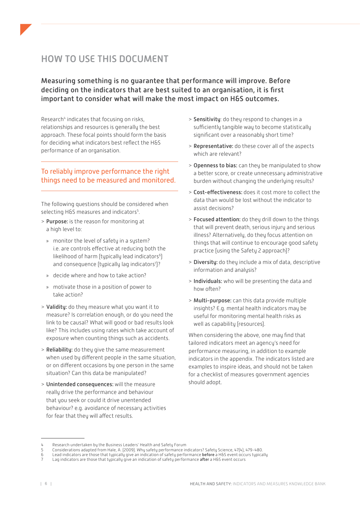# <span id="page-5-0"></span>HOW TO USE THIS DOCUMENT

Measuring something is no guarantee that performance will improve. Before deciding on the indicators that are best suited to an organisation, it is first important to consider what will make the most impact on H&S outcomes.

Research<sup>4</sup> indicates that focusing on risks, relationships and resources is generally the best approach. These focal points should form the basis for deciding what indicators best reflect the H&S performance of an organisation.

# To reliably improve performance the right things need to be measured and monitored.

The following questions should be considered when selecting H&S measures and indicators<sup>5</sup>.

- > Purpose: is the reason for monitoring at a high level to:
	- » monitor the level of safety in a system? i.e. are controls effective at reducing both the likelihood of harm (typically lead indicators $6$ ) and consequence (typically lag indicators<sup>7</sup>)?
	- » decide where and how to take action?
	- » motivate those in a position of power to take action?
- > Validity: do they measure what you want it to measure? Is correlation enough, or do you need the link to be causal? What will good or bad results look like? This includes using rates which take account of exposure when counting things such as accidents.
- > Reliability: do they give the same measurement when used by different people in the same situation, or on different occasions by one person in the same situation? Can this data be manipulated?
- > Unintended consequences: will the measure really drive the performance and behaviour that you seek or could it drive unentended behaviour? e.g. avoidance of necessary activities for fear that they will affect results.
- > Sensitivity: do they respond to changes in a sufficiently tangible way to become statistically significant over a reasonably short time?
- > Representative: do these cover all of the aspects which are relevant?
- > Openness to bias: can they be manipulated to show a better score, or create unnecessary administrative burden without changing the underlying results?
- > Cost-effectiveness: does it cost more to collect the data than would be lost without the indicator to assist decisions?
- > Focused attention: do they drill down to the things that will prevent death, serious injury and serious illness? Alternatively, do they focus attention on things that will continue to encourage good safety practice (using the Safety 2 approach)?
- > Diversity: do they include a mix of data, descriptive information and analysis?
- > Individuals: who will be presenting the data and how often?
- > Multi-purpose: can this data provide multiple insights? E.g. mental health indicators may be useful for monitoring mental health risks as well as capability (resources).

When considering the above, one may find that tailored indicators meet an agency's need for performance measuring, in addition to example indicators in the appendix. The indicators listed are examples to inspire ideas, and should not be taken for a checklist of measures government agencies should adopt.

<sup>4</sup> Research undertaken by the Business Leaders' Health and Safety Forum

<sup>5</sup> Considerations adapted from Hale, A. (2009). Why safety performance indicators? Safety Science, 47(4), 479-480.<br>6 Lead indicators are those that tupically give an indication of safety performance **before** a H6S event occ

Lead indicators are those that typically give an indication of safety performance before a H&S event occurs typically

Lag indicators are those that typically give an indication of safety performance after a H&S event occurs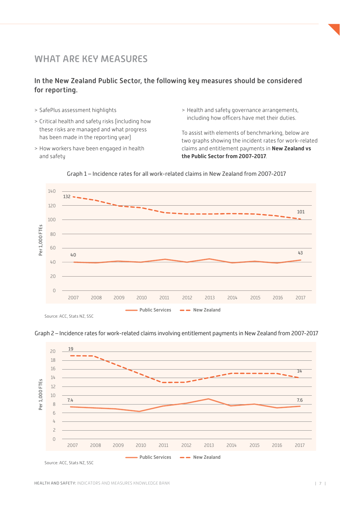# <span id="page-6-0"></span>WHAT ARE KEY MEASURES

# In the New Zealand Public Sector, the following key measures should be considered for reporting.

- > SafePlus assessment highlights
- > Critical health and safety risks (including how these risks are managed and what progress has been made in the reporting year)
- > How workers have been engaged in health and safety
- > Health and safety governance arrangements, including how officers have met their duties.

To assist with elements of benchmarking, below are two graphs showing the incident rates for work-related claims and entitlement payments in **New Zealand vs the Public Sector from 2007-2017**.



Graph 1 – Incidence rates for all work-related claims in New Zealand from 2007-2017

Graph 2 – Incidence rates for work-related claims involving entitlement payments in New Zealand from 2007-2017

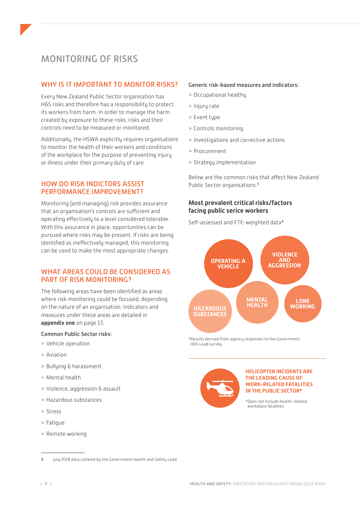# <span id="page-7-0"></span>MONITORING OF RISKS

# WHY IS IT IMPORTANT TO MONITOR RISKS?

Every New Zealand Public Sector organisation has H&S risks and therefore has a responsibility to protect its workers from harm. In order to manage the harm created by exposure to these risks, risks and their controls need to be measured or monitored.

Additionally, the HSWA explicitly requires organisations to monitor the health of their workers and conditions of the workplace for the purpose of preventing injury or illness under their primary duty of care.

# HOW DO RISK INDICTORS ASSIST PERFORMANCE IMPROVEMENT?

Monitoring (and managing) risk provides assurance that an organisation's controls are sufficient and operating effectively to a level considered tolerable. With this assurance in place, opportunities can be pursued where risks may be present. If risks are being identified as ineffectively managed, this monitoring can be used to make the most appropriate changes.

# WHAT AREAS COULD BE CONSIDERED AS PART OF RISK MONITORING?

The following areas have been identified as areas where risk monitoring could be focused, depending on the nature of an organisation. Indicators and measures under these areas are detailed in **[appendix one](#page-12-0)** on page 13.

#### Common Public Sector risks:

- > Vehicle operation
- > Aviation
- > Bullying & harassment
- > Mental health
- > Violence, aggression & assault
- > Hazardous substances
- > Stress
- > Fatigue
- > Remote working

# Generic risk-based measures and indicators: > Occupational healthy

- > Injury rate
- > Event type
- > Controls monitoring
- > Investigations and corrective actions
- > Procurement
- > Strategy implementation

Below are the common risks that affect New Zealand Public Sector organisations.<sup>8</sup>

### **Most prevalent critical risks/factors facing public serice workers**

Self-assessed and FTE-weighted data\*



\*Results derived from agency responses to the Government H&S Lead survey



#### **HELICOPTER INCIDENTS ARE THE LEADING CAUSE OF WORK-RELATED FATALITIES IN THE PUBLIC SECTOR\***

\*Does not include health-related workplace fatalities

<sup>8</sup> July 2018 data collated by the Government Health and Safety Lead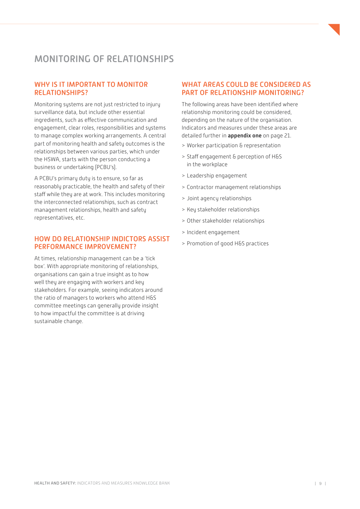# <span id="page-8-0"></span>MONITORING OF RELATIONSHIPS

# WHY IS IT IMPORTANT TO MONITOR RELATIONSHIPS?

Monitoring systems are not just restricted to injury surveillance data, but include other essential ingredients, such as effective communication and engagement, clear roles, responsibilities and systems to manage complex working arrangements. A central part of monitoring health and safety outcomes is the relationships between various parties, which under the HSWA, starts with the person conducting a business or undertaking (PCBU's).

A PCBU's primary duty is to ensure, so far as reasonably practicable, the health and safety of their staff while they are at work. This includes monitoring the interconnected relationships, such as contract management relationships, health and safety representatives, etc.

### HOW DO RELATIONSHIP INDICTORS ASSIST PERFORMANCE IMPROVEMENT?

At times, relationship management can be a 'tick box'. With appropriate monitoring of relationships, organisations can gain a true insight as to how well they are engaging with workers and key stakeholders. For example, seeing indicators around the ratio of managers to workers who attend H&S committee meetings can generally provide insight to how impactful the committee is at driving sustainable change.

# WHAT AREAS COULD BE CONSIDERED AS PART OF RELATIONSHIP MONITORING?

The following areas have been identified where relationship monitoring could be considered, depending on the nature of the organisation. Indicators and measures under these areas are detailed further in **[appendix one](#page-20-0)** on page 21.

- > Worker participation & representation
- > Staff engagement & perception of H&S in the workplace
- > Leadership engagement
- > Contractor management relationships
- > Joint agency relationships
- > Key stakeholder relationships
- > Other stakeholder relationships
- > Incident engagement
- > Promotion of good H&S practices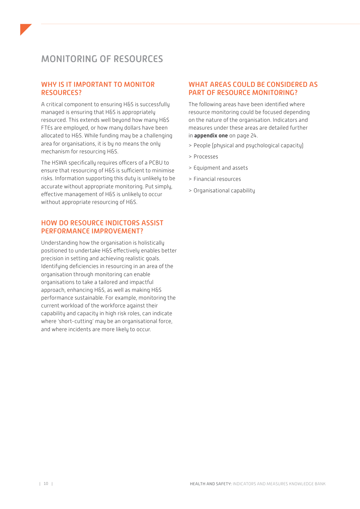# <span id="page-9-0"></span>MONITORING OF RESOURCES

# WHY IS IT IMPORTANT TO MONITOR RESOURCES?

A critical component to ensuring H&S is successfully managed is ensuring that H&S is appropriately resourced. This extends well beyond how many H&S FTEs are employed, or how many dollars have been allocated to H&S. While funding may be a challenging area for organisations, it is by no means the only mechanism for resourcing H&S.

The HSWA specifically requires officers of a PCBU to ensure that resourcing of H&S is sufficient to minimise risks. Information supporting this duty is unlikely to be accurate without appropriate monitoring. Put simply, effective management of H&S is unlikely to occur without appropriate resourcing of H&S.

### HOW DO RESOURCE INDICTORS ASSIST PERFORMANCE IMPROVEMENT?

Understanding how the organisation is holistically positioned to undertake H&S effectively enables better precision in setting and achieving realistic goals. Identifying deficiencies in resourcing in an area of the organisation through monitoring can enable organisations to take a tailored and impactful approach, enhancing H&S, as well as making H&S performance sustainable. For example, monitoring the current workload of the workforce against their capability and capacity in high risk roles, can indicate where 'short-cutting' may be an organisational force, and where incidents are more likely to occur.

# WHAT AREAS COULD BE CONSIDERED AS PART OF RESOURCE MONITORING?

The following areas have been identified where resource monitoring could be focused depending on the nature of the organisation. Indicators and measures under these areas are detailed further in **[appendix one](#page-23-0)** on page 24.

- > People (physical and psychological capacity)
- > Processes
- > Equipment and assets
- > Financial resources
- > Organisational capability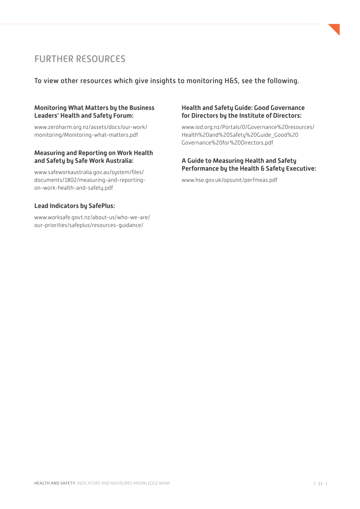

# <span id="page-10-0"></span>FURTHER RESOURCES

To view other resources which give insights to monitoring H&S, see the following.

### **Monitoring What Matters by the Business Leaders' Health and Safety Forum:**

[www.zeroharm.org.nz/assets/docs/our-work/](http://www.zeroharm.org.nz/assets/docs/our-work/monitoring/Monitoring-what-matters.pdf) [monitoring/Monitoring-what-matters.pdf](http://www.zeroharm.org.nz/assets/docs/our-work/monitoring/Monitoring-what-matters.pdf)

# **Measuring and Reporting on Work Health and Safety by Safe Work Australia:**

[www.safeworkaustralia.gov.au/system/files/](https://www.safeworkaustralia.gov.au/system/files/documents/1802/measuring-and-reporting-on-work-health-and-safety.pdf) [documents/1802/measuring-and-reporting](https://www.safeworkaustralia.gov.au/system/files/documents/1802/measuring-and-reporting-on-work-health-and-safety.pdf)[on-work-health-and-safety.pdf](https://www.safeworkaustralia.gov.au/system/files/documents/1802/measuring-and-reporting-on-work-health-and-safety.pdf)

# **Lead Indicators by SafePlus:**

www[.worksafe.govt.nz/about-us/who-we-are/](https://worksafe.govt.nz/about-us/who-we-are/our-priorities/safeplus/resources-guidance/) [our-priorities/safeplus/resources-guidance/](https://worksafe.govt.nz/about-us/who-we-are/our-priorities/safeplus/resources-guidance/)

# **Health and Safety Guide: Good Governance for Directors by the Institute of Directors:**

[www.iod.org.nz/Portals/0/Governance%20resources/](https://www.iod.org.nz/Portals/0/Governance resources/Health and Safety Guide_Good Governance for Directors.pdf) [Health%20and%20Safety%20Guide\\_Good%20](https://www.iod.org.nz/Portals/0/Governance resources/Health and Safety Guide_Good Governance for Directors.pdf) [Governance%20for%20Directors.pdf](https://www.iod.org.nz/Portals/0/Governance resources/Health and Safety Guide_Good Governance for Directors.pdf)

# **A Guide to Measuring Health and Safety Performance by the Health & Safety Executive:**

[www.hse.gov.uk/opsunit/perfmeas.pdf](http://www.hse.gov.uk/opsunit/perfmeas.pdf)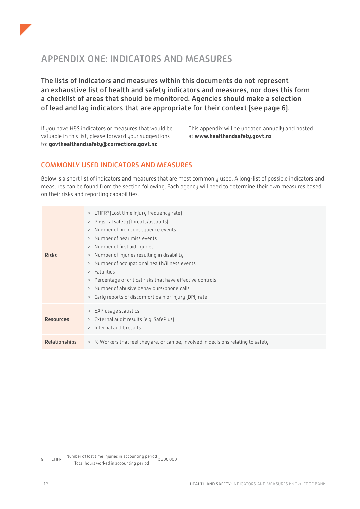# <span id="page-11-0"></span>APPENDIX ONE: INDICATORS AND MEASURES

The lists of indicators and measures within this documents do not represent an exhaustive list of health and safety indicators and measures, nor does this form a checklist of areas that should be monitored. Agencies should make a selection of lead and lag indicators that are appropriate for their context (see page 6).

If you have H&S indicators or measures that would be valuable in this list, please forward your suggestions to: **[govthealthandsafety@corrections.govt.nz](mailto:govthealthandsafety%40corrections.govt.nz?subject=)**

This appendix will be updated annually and hosted at **[www.healthandsafety.govt.nz](http://www.healthandsafety.govt.nz)**

# COMMONLY USED INDICATORS AND MEASURES

Below is a short list of indicators and measures that are most commonly used. A long-list of possible indicators and measures can be found from the section following. Each agency will need to determine their own measures based on their risks and reporting capabilities.

| $>$ LTIFR <sup>9</sup> (Lost time injury frequency rate)<br>Physical safety (threats/assaults)<br>><br>> Number of high consequence events<br>> Number of near miss events<br>> Number of first aid injuries<br>> Number of injuries resulting in disability<br><b>Risks</b><br>Number of occupational health/illness events<br>$\,>$<br>Fatalities<br>><br>Percentage of critical risks that have effective controls<br>$\rm{>}$<br>Number of abusive behaviours/phone calls<br>$\,>$<br>> Early reports of discomfort pain or injury (DPI) rate |  |
|---------------------------------------------------------------------------------------------------------------------------------------------------------------------------------------------------------------------------------------------------------------------------------------------------------------------------------------------------------------------------------------------------------------------------------------------------------------------------------------------------------------------------------------------------|--|
| > EAP usage statistics<br>> External audit results (e.g. SafePlus)<br><b>Resources</b><br>> Internal audit results                                                                                                                                                                                                                                                                                                                                                                                                                                |  |
| <b>Relationships</b><br>> % Workers that feel they are, or can be, involved in decisions relating to safety                                                                                                                                                                                                                                                                                                                                                                                                                                       |  |

<sup>9</sup>  $LTIFR = \frac{Number of lost time injuries in accounting period}{200,000} \times 200,000$ Total hours worked in accounting period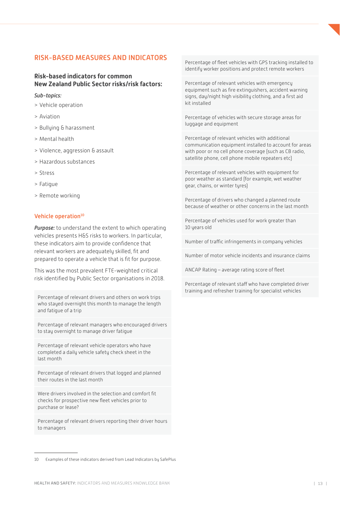# <span id="page-12-0"></span>RISK-BASED MEASURES AND INDICATORS

# **Risk-based indicators for common New Zealand Public Sector risks/risk factors:**

#### *Sub-topics:*

- > Vehicle operation
- > Aviation
- > Bullying & harassment
- > Mental health
- > Violence, aggression & assault
- > Hazardous substances
- > Stress
- > Fatigue
- > Remote working

#### Vehicle operation<sup>10</sup>

*Purpose:* to understand the extent to which operating vehicles presents H&S risks to workers. In particular, these indicators aim to provide confidence that relevant workers are adequately skilled, fit and prepared to operate a vehicle that is fit for purpose.

This was the most prevalent FTE-weighted critical risk identified by Public Sector organisations in 2018.

Percentage of relevant drivers and others on work trips who stayed overnight this month to manage the length and fatigue of a trip

Percentage of relevant managers who encouraged drivers to stay overnight to manage driver fatigue

Percentage of relevant vehicle operators who have completed a daily vehicle safety check sheet in the last month

Percentage of relevant drivers that logged and planned their routes in the last month

Were drivers involved in the selection and comfort fit checks for prospective new fleet vehicles prior to purchase or lease?

Percentage of relevant drivers reporting their driver hours to managers

Percentage of fleet vehicles with GPS tracking installed to identify worker positions and protect remote workers

Percentage of relevant vehicles with emergency equipment such as fire extinguishers, accident warning signs, day/night high visibility clothing, and a first aid kit installed

Percentage of vehicles with secure storage areas for luggage and equipment

Percentage of relevant vehicles with additional communication equipment installed to account for areas with poor or no cell phone coverage (such as CB radio, satellite phone, cell phone mobile repeaters etc)

Percentage of relevant vehicles with equipment for poor weather as standard (for example, wet weather gear, chains, or winter tyres)

Percentage of drivers who changed a planned route because of weather or other concerns in the last month

Percentage of vehicles used for work greater than 10 years old

Number of traffic infringements in company vehicles

Number of motor vehicle incidents and insurance claims

ANCAP Rating – average rating score of fleet

Percentage of relevant staff who have completed driver training and refresher training for specialist vehicles

<sup>10</sup> Examples of these indicators derived from Lead Indicators by SafePlus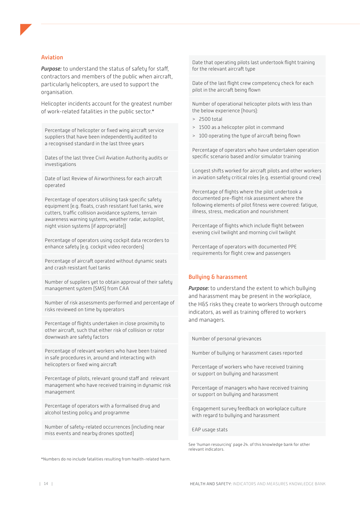#### Aviation

*Purpose:* to understand the status of safety for staff, contractors and members of the public when aircraft, particularly helicopters, are used to support the organisation.

Helicopter incidents account for the greatest number of work-related fatalities in the public sector.\*

Percentage of helicopter or fixed wing aircraft service suppliers that have been independently audited to a recognised standard in the last three years

Dates of the last three Civil Aviation Authority audits or investigations

Date of last Review of Airworthiness for each aircraft operated

Percentage of operators utilising task specific safety equipment (e.g. floats, crash resistant fuel tanks, wire cutters, traffic collision avoidance systems, terrain awareness warning systems, weather radar, autopilot, night vision systems (if appropriate))

Percentage of operators using cockpit data recorders to enhance safety (e.g. cockpit video recorders)

Percentage of aircraft operated without dynamic seats and crash resistant fuel tanks

Number of suppliers yet to obtain approval of their safety management system (SMS) from CAA

Number of risk assessments performed and percentage of risks reviewed on time by operators

Percentage of flights undertaken in close proximity to other aircraft, such that either risk of collision or rotor downwash are safety factors

Percentage of relevant workers who have been trained in safe procedures in, around and interacting with helicopters or fixed wing aircraft

Percentage of pilots, relevant ground staff and relevant management who have received training in dynamic risk management

Percentage of operators with a formalised drug and alcohol testing policy and programme

Number of safety-related occurrences (including near miss events and nearby drones spotted)

\*Numbers do no include fatalities resulting from health-related harm.

Date that operating pilots last undertook flight training for the relevant aircraft type

Date of the last flight crew competency check for each pilot in the aircraft being flown

Number of operational helicopter pilots with less than the below experience (hours):

- > 2500 total
- > 1500 as a helicopter pilot in command
- > 100 operating the type of aircraft being flown

Percentage of operators who have undertaken operation specific scenario based and/or simulator training

Longest shifts worked for aircraft pilots and other workers in aviation safety critical roles (e.g. essential ground crew)

Percentage of flights where the pilot undertook a documented pre-flight risk assessment where the following elements of pilot fitness were covered: fatigue, illness, stress, medication and nourishment

Percentage of flights which include flight between evening civil twilight and morning civil twilight

Percentage of operators with documented PPE requirements for flight crew and passengers

#### Bullying & harassment

*Purpose:* to understand the extent to which bullying and harassment may be present in the workplace, the H&S risks they create to workers through outcome indicators, as well as training offered to workers and managers.

Number of personal grievances

Number of bullying or harassment cases reported

Percentage of workers who have received training or support on bullying and harassment

Percentage of managers who have received training or support on bullying and harassment

Engagement survey feedback on workplace culture with regard to bullying and harassment

EAP usage stats

See 'human resourcing' page 24. of this knowledge bank for other relevant indicators.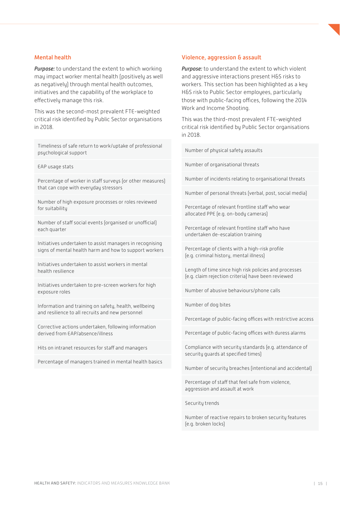#### Mental health

*Purpose:* to understand the extent to which working may impact worker mental health (positively as well as negatively) through mental health outcomes, initiatives and the capability of the workplace to effectively manage this risk.

This was the second-most prevalent FTE-weighted critical risk identified by Public Sector organisations in 2018.

Timeliness of safe return to work/uptake of professional psychological support

EAP usage stats

Percentage of worker in staff surveys (or other measures) that can cope with everyday stressors

Number of high exposure processes or roles reviewed for suitability

Number of staff social events (organised or unofficial) each quarter

Initiatives undertaken to assist managers in recognising signs of mental health harm and how to support workers

Initiatives undertaken to assist workers in mental health resilience

Initiatives undertaken to pre-screen workers for high exposure roles

Information and training on safety, health, wellbeing and resilience to all recruits and new personnel

Corrective actions undertaken, following information derived from EAP/absence/illness

Hits on intranet resources for staff and managers

Percentage of managers trained in mental health basics

#### Violence, aggression & assault

*Purpose:* to understand the extent to which violent and aggressive interactions present H&S risks to workers. This section has been highlighted as a key H&S risk to Public Sector employees, particularly those with public-facing offices, following the 2014 Work and Income Shooting.

This was the third-most prevalent FTE-weighted critical risk identified by Public Sector organisations in 2018.

Number of physical safety assaults

Number of organisational threats

Number of incidents relating to organisational threats

Number of personal threats (verbal, post, social media)

Percentage of relevant frontline staff who wear allocated PPE (e.g. on-body cameras)

Percentage of relevant frontline staff who have undertaken de-escalation training

Percentage of clients with a high-risk profile (e.g. criminal history, mental illness)

Length of time since high risk policies and processes (e.g. claim rejection criteria) have been reviewed

Number of abusive behaviours/phone calls

Number of dog bites

Percentage of public-facing offices with restrictive access

Percentage of public-facing offices with duress alarms

Compliance with security standards (e.g. attendance of security guards at specified times)

Number of security breaches (intentional and accidental)

Percentage of staff that feel safe from violence, aggression and assault at work

Security trends

Number of reactive repairs to broken security features (e.g. broken locks)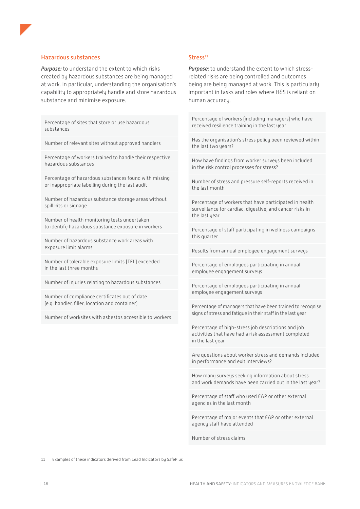#### Hazardous substances

*Purpose:* to understand the extent to which risks created by hazardous substances are being managed at work. In particular, understanding the organisation's capability to appropriately handle and store hazardous substance and minimise exposure.

Percentage of sites that store or use hazardous substances

Number of relevant sites without approved handlers

Percentage of workers trained to handle their respective hazardous substances

Percentage of hazardous substances found with missing or inappropriate labelling during the last audit

Number of hazardous substance storage areas without spill kits or signage

Number of health monitoring tests undertaken to identify hazardous substance exposure in workers

Number of hazardous substance work areas with exposure limit alarms

Number of tolerable exposure limits (TEL) exceeded in the last three months

Number of injuries relating to hazardous substances

Number of compliance certificates out of date (e.g. handler, filler, location and container)

Number of worksites with asbestos accessible to workers

#### $Stress<sup>11</sup>$

*Purpose:* to understand the extent to which stressrelated risks are being controlled and outcomes being are being managed at work. This is particularly important in tasks and roles where H&S is reliant on human accuracy.

Percentage of workers (including managers) who have received resilience training in the last year

Has the organisation's stress policy been reviewed within the last two years?

How have findings from worker surveys been included in the risk control processes for stress?

Number of stress and pressure self-reports received in the last month

Percentage of workers that have participated in health surveillance for cardiac, digestive, and cancer risks in the last year

Percentage of staff participating in wellness campaigns this quarter

Results from annual employee engagement surveys

Percentage of employees participating in annual employee engagement surveys

Percentage of employees participating in annual employee engagement surveys

Percentage of managers that have been trained to recognise signs of stress and fatigue in their staff in the last year

Percentage of high-stress job descriptions and job activities that have had a risk assessment completed in the last year

Are questions about worker stress and demands included in performance and exit interviews?

How many surveys seeking information about stress and work demands have been carried out in the last year?

Percentage of staff who used EAP or other external agencies in the last month

Percentage of major events that EAP or other external agency staff have attended

Number of stress claims

<sup>11</sup> Examples of these indicators derived from Lead Indicators by SafePlus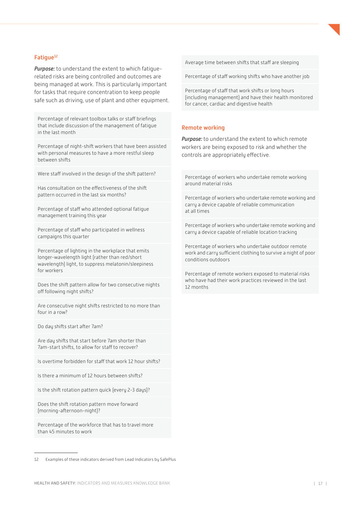#### Fatique<sup>12</sup>

*Purpose:* to understand the extent to which fatiguerelated risks are being controlled and outcomes are being managed at work. This is particularly important for tasks that require concentration to keep people safe such as driving, use of plant and other equipment.

Percentage of relevant toolbox talks or staff briefings that include discussion of the management of fatigue in the last month

Percentage of night-shift workers that have been assisted with personal measures to have a more restful sleep between shifts

Were staff involved in the design of the shift pattern?

Has consultation on the effectiveness of the shift pattern occurred in the last six months?

Percentage of staff who attended optional fatigue management training this year

Percentage of staff who participated in wellness campaigns this quarter

Percentage of lighting in the workplace that emits longer-wavelength light (rather than red/short wavelength) light, to suppress melatonin/sleepiness for workers

Does the shift pattern allow for two consecutive nights off following night shifts?

Are consecutive night shifts restricted to no more than four in a row?

Do day shifts start after 7am?

Are day shifts that start before 7am shorter than 7am-start shifts, to allow for staff to recover?

Is overtime forbidden for staff that work 12 hour shifts?

Is there a minimum of 12 hours between shifts?

Is the shift rotation pattern quick (every 2-3 days)?

Does the shift rotation pattern move forward (morning-afternoon-night)?

Percentage of the workforce that has to travel more than 45 minutes to work

Average time between shifts that staff are sleeping

Percentage of staff working shifts who have another job

Percentage of staff that work shifts or long hours (including management) and have their health monitored for cancer, cardiac and digestive health

#### Remote working

*Purpose:* to understand the extent to which remote workers are being exposed to risk and whether the controls are appropriately effective.

Percentage of workers who undertake remote working around material risks

Percentage of workers who undertake remote working and carry a device capable of reliable communication at all times

Percentage of workers who undertake remote working and carry a device capable of reliable location tracking

Percentage of workers who undertake outdoor remote work and carry sufficient clothing to survive a night of poor conditions outdoors

Percentage of remote workers exposed to material risks who have had their work practices reviewed in the last 12 months

12 Examples of these indicators derived from Lead Indicators by SafePlus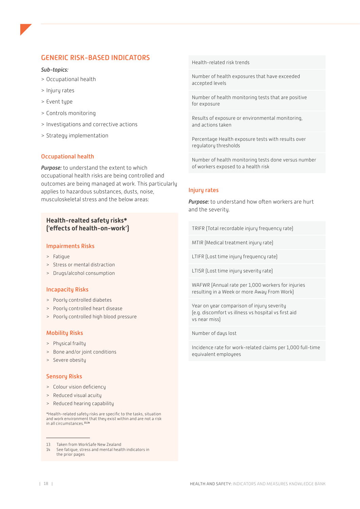# <span id="page-17-0"></span>GENERIC RISK-BASED INDICATORS

#### *Sub-topics:*

- > Occupational health
- > Injury rates
- > Event type
- > Controls monitoring
- > Investigations and corrective actions
- > Strategy implementation

#### Occupational health

*Purpose:* to understand the extent to which occupational health risks are being controlled and outcomes are being managed at work. This particularly applies to hazardous substances, dusts, noise, musculoskeletal stress and the below areas:

#### **Health-realted safety risks\* ('effects of health-on-work')**

#### Impairments Risks

- > Fatigue
- > Stress or mental distraction
- > Drugs/alcohol consumption

#### Incapacity Risks

- > Poorly controlled diabetes
- > Poorly controlled heart disease
- > Poorly controlled high blood pressure

#### Mobility Risks

- > Physical frailty
- > Bone and/or joint conditions
- > Severe obesity

#### Sensory Risks

- > Colour vision deficiency
- > Reduced visual acuity
- > Reduced hearing capability

\*Health-related safety risks are specific to the tasks, situation and work environment that they exist within and are not a risk in all circumstances.**13,14**

Health-related risk trends

Number of health exposures that have exceeded accepted levels

Number of health monitoring tests that are positive for exposure

Results of exposure or environmental monitoring, and actions taken

Percentage Health exposure tests with results over regulatory thresholds

Number of health monitoring tests done versus number of workers exposed to a health risk

#### Injury rates

*Purpose:* to understand how often workers are hurt and the severity.

TRIFR (Total recordable injury frequency rate)

MTIR (Medical treatment injury rate)

LTIFR (Lost time injury frequency rate)

LTISR (Lost time injury severity rate)

WAFWR (Annual rate per 1,000 workers for injuries resulting in a Week or more Away From Work)

Year on year comparison of injury severity (e.g. discomfort vs illness vs hospital vs first aid vs near miss)

Number of days lost

Incidence rate for work-related claims per 1,000 full-time equivalent employees

<sup>13</sup> Taken from [WorkSafe New Zealand](https://worksafe.govt.nz/laws-and-regulations/operational-policy-framework/worksafe-positions/work-related-occupational-health/)<br>14 See fatique, stress and mental healt

See fatigue, stress and mental health indicators in the prior pages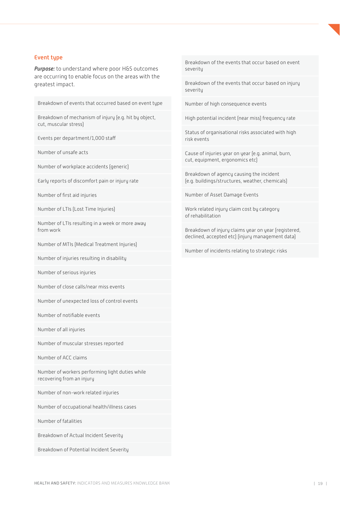#### Event type

*Purpose:* to understand where poor H&S outcomes are occurring to enable focus on the areas with the greatest impact.

Breakdown of events that occurred based on event type

Breakdown of mechanism of injury (e.g. hit by object, cut, muscular stress)

Events per department/1,000 staff

Number of unsafe acts

Number of workplace accidents (generic)

Early reports of discomfort pain or injury rate

Number of first aid injuries

Number of LTIs (Lost Time Injuries)

Number of LTIs resulting in a week or more away from work

Number of MTIs (Medical Treatment Injuries)

Number of injuries resulting in disability

Number of serious injuries

Number of close calls/near miss events

Number of unexpected loss of control events

Number of notifiable events

Number of all injuries

Number of muscular stresses reported

Number of ACC claims

Number of workers performing light duties while recovering from an injury

Number of non-work related injuries

Number of occupational health/illness cases

Number of fatalities

Breakdown of Actual Incident Severity

Breakdown of Potential Incident Severity

Breakdown of the events that occur based on event severity

Breakdown of the events that occur based on injury severity

Number of high consequence events

High potential incident (near miss) frequency rate

Status of organisational risks associated with high risk events

Cause of injuries year on year (e.g. animal, burn, cut, equipment, ergonomics etc)

Breakdown of agency causing the incident (e.g. buildings/structures, weather, chemicals)

Number of Asset Damage Events

Work related injury claim cost by category of rehabilitation

Breakdown of injury claims year on year (registered, declined, accepted etc) (injury management data)

Number of incidents relating to strategic risks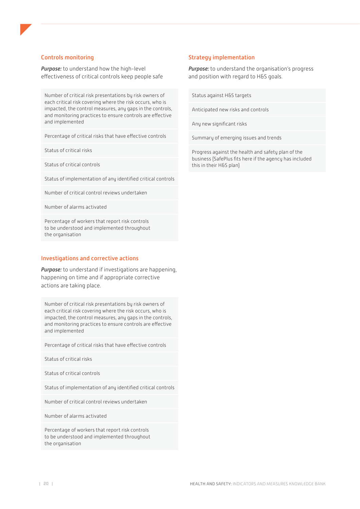#### Controls monitoring

*Purpose:* to understand how the high-level effectiveness of critical controls keep people safe

Number of critical risk presentations by risk owners of each critical risk covering where the risk occurs, who is impacted, the control measures, any gaps in the controls, and monitoring practices to ensure controls are effective and implemented

Percentage of critical risks that have effective controls

Status of critical risks

Status of critical controls

Status of implementation of any identified critical controls

Number of critical control reviews undertaken

Number of alarms activated

Percentage of workers that report risk controls to be understood and implemented throughout the organisation

#### Investigations and corrective actions

*Purpose:* to understand if investigations are happening, happening on time and if appropriate corrective actions are taking place.

Number of critical risk presentations by risk owners of each critical risk covering where the risk occurs, who is impacted, the control measures, any gaps in the controls, and monitoring practices to ensure controls are effective and implemented

Percentage of critical risks that have effective controls

Status of critical risks

Status of critical controls

Status of implementation of any identified critical controls

Number of critical control reviews undertaken

Number of alarms activated

Percentage of workers that report risk controls to be understood and implemented throughout the organisation

#### Strategy implementation

*Purpose:* to understand the organisation's progress and position with regard to H&S goals.

Status against H&S targets

Anticipated new risks and controls

Any new significant risks

Summary of emerging issues and trends

Progress against the health and safety plan of the business (SafePlus fits here if the agency has included this in their H&S plan)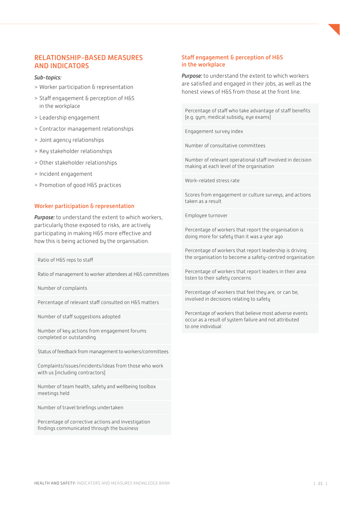# <span id="page-20-0"></span>RELATIONSHIP-BASED MEASURES AND INDICATORS

#### *Sub-topics:*

- > Worker participation & representation
- > Staff engagement & perception of H&S in the workplace
- > Leadership engagement
- > Contractor management relationships
- > Joint agency relationships
- > Key stakeholder relationships
- > Other stakeholder relationships
- > Incident engagement
- > Promotion of good H&S practices

#### Worker participation & representation

*Purpose:* to understand the extent to which workers, particularly those exposed to risks, are actively participating in making H&S more effective and how this is being actioned by the organisation.

Ratio of H&S reps to staff

Ratio of management to worker attendees at H&S committees

Number of complaints

Percentage of relevant staff consulted on H&S matters

Number of staff suggestions adopted

Number of key actions from engagement forums completed or outstanding

Status of feedback from management to workers/committees

Complaints/issues/incidents/ideas from those who work with us (including contractors)

Number of team health, safety and wellbeing toolbox meetings held

Number of travel briefings undertaken

Percentage of corrective actions and investigation findings communicated through the business

#### Staff engagement & perception of H&S in the workplace

*Purpose:* to understand the extent to which workers are satisfied and engaged in their jobs, as well as the honest views of H&S from those at the front line.

Percentage of staff who take advantage of staff benefits (e.g. gym, medical subsidy, eye exams)

Engagement survey index

Number of consultative committees

Number of relevant operational staff involved in decision making at each level of the organisation

Work-related stress rate

Scores from engagement or culture surveys, and actions taken as a result

Employee turnover

Percentage of workers that report the organisation is doing more for safety than it was a year ago

Percentage of workers that report leadership is driving the organisation to become a safety-centred organisation

Percentage of workers that report leaders in their area listen to their safety concerns

Percentage of workers that feel they are, or can be, involved in decisions relating to safety

Percentage of workers that believe most adverse events occur as a result of system failure and not attributed to one individual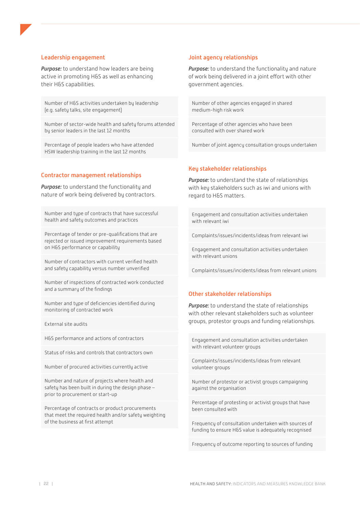#### Leadership engagement

*Purpose:* to understand how leaders are being active in promoting H&S as well as enhancing their H&S capabilities.

Number of H&S activities undertaken by leadership (e.g. safety talks, site engagement)

Number of sector-wide health and safety forums attended by senior leaders in the last 12 months

Percentage of people leaders who have attended HSW leadership training in the last 12 months

#### Contractor management relationships

*Purpose:* to understand the functionality and nature of work being delivered by contractors.

Number and type of contracts that have successful health and safety outcomes and practices

Percentage of tender or pre-qualifications that are rejected or issued improvement requirements based on H&S performance or capability

Number of contractors with current verified health and safety capability versus number unverified

Number of inspections of contracted work conducted and a summary of the findings

Number and type of deficiencies identified during monitoring of contracted work

External site audits

H&S performance and actions of contractors

Status of risks and controls that contractors own

Number of procured activities currently active

Number and nature of projects where health and safety has been built in during the design phase – prior to procurement or start-up

Percentage of contracts or product procurements that meet the required health and/or safety weighting of the business at first attempt

#### Joint agency relationships

*Purpose:* to understand the functionality and nature of work being delivered in a joint effort with other government agencies.

Number of other agencies engaged in shared medium-high risk work

Percentage of other agencies who have been consulted with over shared work

Number of joint agency consultation groups undertaken

#### Key stakeholder relationships

*Purpose:* to understand the state of relationships with key stakeholders such as iwi and unions with regard to H&S matters.

Engagement and consultation activities undertaken with relevant iwi

Complaints/issues/incidents/ideas from relevant iwi

Engagement and consultation activities undertaken with relevant unions

Complaints/issues/incidents/ideas from relevant unions

#### Other stakeholder relationships

*Purpose:* to understand the state of relationships with other relevant stakeholders such as volunteer groups, protestor groups and funding relationships.

Engagement and consultation activities undertaken with relevant volunteer groups

Complaints/issues/incidents/ideas from relevant volunteer groups

Number of protestor or activist groups campaigning against the organisation

Percentage of protesting or activist groups that have been consulted with

Frequency of consultation undertaken with sources of funding to ensure H&S value is adequately recognised

Frequency of outcome reporting to sources of funding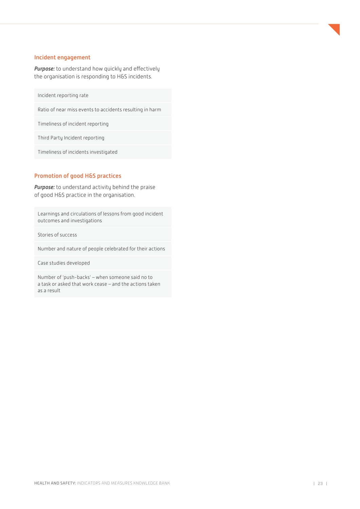#### Incident engagement

*Purpose:* to understand how quickly and effectively the organisation is responding to H&S incidents.

Incident reporting rate

Ratio of near miss events to accidents resulting in harm

Timeliness of incident reporting

Third Party Incident reporting

Timeliness of incidents investigated

### Promotion of good H&S practices

*Purpose:* to understand activity behind the praise of good H&S practice in the organisation.

Learnings and circulations of lessons from good incident outcomes and investigations

Stories of success

Number and nature of people celebrated for their actions

Case studies developed

Number of 'push-backs' – when someone said no to a task or asked that work cease – and the actions taken as a result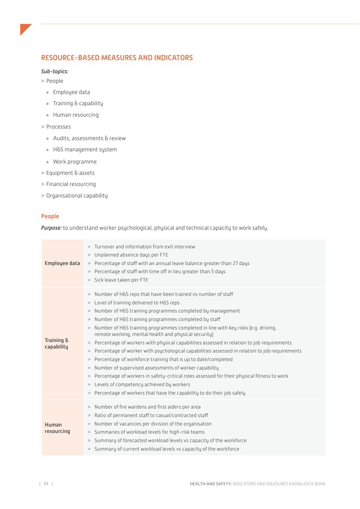# <span id="page-23-0"></span>RESOURCE-BASED MEASURES AND INDICATORS

#### *Sub-topics:*

- > People
	- » Employee data
	- » Training & capability
	- » Human resourcing
- > Processes
	- » Audits, assessments & review
	- » H&S management system
	- » Work programme
- > Equipment & assets
- > Financial resourcing
- > Organisational capability

### People

*Purpose:* to understand worker psychological, physical and technical capacity to work safely.

| Employee data            | > Turnover and information from exit interview<br>> Unplanned absence days per FTE<br>> Percentage of staff with an annual leave balance greater than 27 days<br>> Percentage of staff with time off in lieu greater than 5 days<br>> Sick leave taken per FTE                                                                                                                                                                                                                                                                                                                                                                                                                                                                                                                                                                                                                                                                                  |
|--------------------------|-------------------------------------------------------------------------------------------------------------------------------------------------------------------------------------------------------------------------------------------------------------------------------------------------------------------------------------------------------------------------------------------------------------------------------------------------------------------------------------------------------------------------------------------------------------------------------------------------------------------------------------------------------------------------------------------------------------------------------------------------------------------------------------------------------------------------------------------------------------------------------------------------------------------------------------------------|
| Training &<br>capability | > Number of H&S reps that have been trained vs number of staff<br>> Level of training delivered to H&S reps<br>> Number of H&S training programmes completed by management<br>> Number of H&S training programmes completed by staff<br>Number of H&S training programmes completed in line with key risks (e.g. driving,<br>><br>remote working, mental health and physical security)<br>> Percentage of workers with physical capabilities assessed in relation to job requirements<br>> Percentage of worker with psychological capabilities assessed in relation to job requirements<br>> Percentage of workforce training that is up to date/completed<br>> Number of supervised assessments of worker capability<br>> Percentage of workers in safety-critical roles assessed for their physical fitness to work<br>> Levels of competency achieved by workers<br>> Percentage of workers that have the capability to do their job safely |
| Human<br>resourcing      | > Number of fire wardens and first aiders per area<br>> Ratio of permanent staff to casual/contracted staff<br>> Number of vacancies per division of the organisation<br>> Summaries of workload levels for high-risk teams<br>> Summary of forecasted workload levels vs capacity of the workforce<br>> Summary of current workload levels vs capacity of the workforce                                                                                                                                                                                                                                                                                                                                                                                                                                                                                                                                                                        |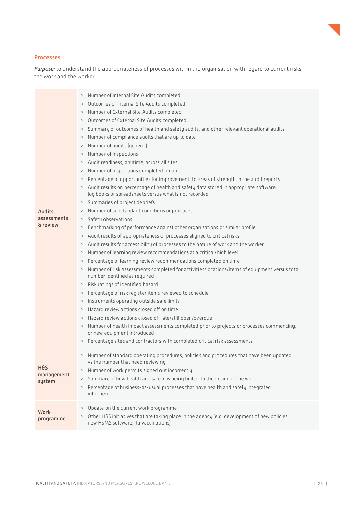#### Processes

*Purpose:* to understand the appropriateness of processes within the organisation with regard to current risks, the work and the worker.

| Audits,<br>assessments<br>& review     | Number of Internal Site Audits completed<br>$\,>$<br>Outcomes of Internal Site Audits completed<br>><br>Number of External Site Audits completed<br>$\,>$<br>Outcomes of External Site Audits completed<br>$\,>$<br>Summary of outcomes of health and safety audits, and other relevant operational audits<br>$\,>$<br>Number of compliance audits that are up to date<br>$\,>$<br>Number of audits (generic)<br>><br>Number of inspections<br>$\,>$<br>> Audit readiness, anytime, across all sites<br>> Number of inspections completed on time<br>Percentage of opportunities for improvement (to areas of strength in the audit reports)<br>$\,>$<br>> Audit results on percentage of health and safety data stored in appropriate software,<br>log books or spreadsheets versus what is not recorded<br>> Summaries of project debriefs<br>Number of substandard conditions or practices<br>><br>Safety observations<br>$\,>$<br>Benchmarking of performance against other organisations or similar profile<br>$\,>$<br>Audit results of appropriateness of processes aligned to critical risks<br>$\, >$<br>Audit results for accessibility of processes to the nature of work and the worker<br>><br>Number of learning review recommendations at a critical/high level<br>$\rm{~}$<br>Percentage of learning review recommendations completed on time<br>$\,>$<br>Number of risk assessments completed for activities/locations/items of equipment versus total<br>$\, >$<br>number identified as required<br>> Risk ratings of identified hazard<br>> Percentage of risk register items reviewed to schedule<br>Instruments operating outside safe limits<br>><br>Hazard review actions closed off on time<br>><br>Hazard review actions closed off late/still open/overdue<br>$\rm{~}$<br>> Number of health impact assessments completed prior to projects or processes commencing,<br>or new equipment introduced<br>> Percentage sites and contractors with completed critical risk assessments |
|----------------------------------------|--------------------------------------------------------------------------------------------------------------------------------------------------------------------------------------------------------------------------------------------------------------------------------------------------------------------------------------------------------------------------------------------------------------------------------------------------------------------------------------------------------------------------------------------------------------------------------------------------------------------------------------------------------------------------------------------------------------------------------------------------------------------------------------------------------------------------------------------------------------------------------------------------------------------------------------------------------------------------------------------------------------------------------------------------------------------------------------------------------------------------------------------------------------------------------------------------------------------------------------------------------------------------------------------------------------------------------------------------------------------------------------------------------------------------------------------------------------------------------------------------------------------------------------------------------------------------------------------------------------------------------------------------------------------------------------------------------------------------------------------------------------------------------------------------------------------------------------------------------------------------------------------------------------------------------------------------------------------------------------------------------------|
| <b>H&amp;S</b><br>management<br>system | > Number of standard operating procedures, policies and procedures that have been updated<br>vs the number that need reviewing<br>> Number of work permits signed out incorrectly<br>Summary of how health and safety is being built into the design of the work<br>$\,>$<br>> Percentage of business-as-usual processes that have health and safety integrated<br>into them                                                                                                                                                                                                                                                                                                                                                                                                                                                                                                                                                                                                                                                                                                                                                                                                                                                                                                                                                                                                                                                                                                                                                                                                                                                                                                                                                                                                                                                                                                                                                                                                                                 |
| <b>Work</b><br>programme               | > Update on the current work programme<br>> Other H&S initiatives that are taking place in the agency [e.g. development of new policies,<br>new HSMS software, flu vaccinations)                                                                                                                                                                                                                                                                                                                                                                                                                                                                                                                                                                                                                                                                                                                                                                                                                                                                                                                                                                                                                                                                                                                                                                                                                                                                                                                                                                                                                                                                                                                                                                                                                                                                                                                                                                                                                             |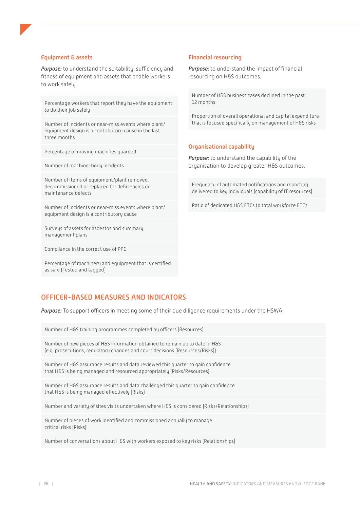#### <span id="page-25-0"></span>Equipment & assets

*Purpose:* to understand the suitability, sufficiency and fitness of equipment and assets that enable workers to work safely.

Percentage workers that report they have the equipment to do their job safely

Number of incidents or near-miss events where plant/ equipment design is a contributory cause in the last three months

Percentage of moving machines guarded

Number of machine-body incidents

Number of items of equipment/plant removed, decommissioned or replaced for deficiencies or maintenance defects

Number of incidents or near-miss events where plant/ equipment design is a contributory cause

Surveys of assets for asbestos and summary management plans

Compliance in the correct use of PPE

Percentage of machinery and equipment that is certified as safe (Tested and tagged)

#### Financial resourcing

*Purpose:* to understand the impact of financial resourcing on H&S outcomes.

Number of H&S business cases declined in the past 12 months

Proportion of overall operational and capital expenditure that is focused specifically on management of H&S risks

#### Organisational capability

*Purpose:* to understand the capability of the organisation to develop greater H&S outcomes.

Frequency of automated notifications and reporting delivered to key individuals (capability of IT resources)

Ratio of dedicated H&S FTEs to total workforce FTEs

# OFFICER-BASED MEASURES AND INDICATORS

*Purpose:* To support officers in meeting some of their due diligence requirements under the HSWA.

Number of H&S training programmes completed by officers (Resources)

Number of new pieces of H&S information obtained to remain up to date in H&S (e.g. prosecutions, regulatory changes and court decisions (Resources/Risks))

Number of H&S assurance results and data reviewed this quarter to gain confidence that H&S is being managed and resourced appropriately (Risks/Resources)

Number of H&S assurance results and data challenged this quarter to gain confidence that H&S is being managed effectively (Risks)

Number and variety of sites visits undertaken where H&S is considered (Risks/Relationships)

Number of pieces of work identified and commissioned annually to manage critical risks (Risks)

Number of conversations about H&S with workers exposed to key risks (Relationships)